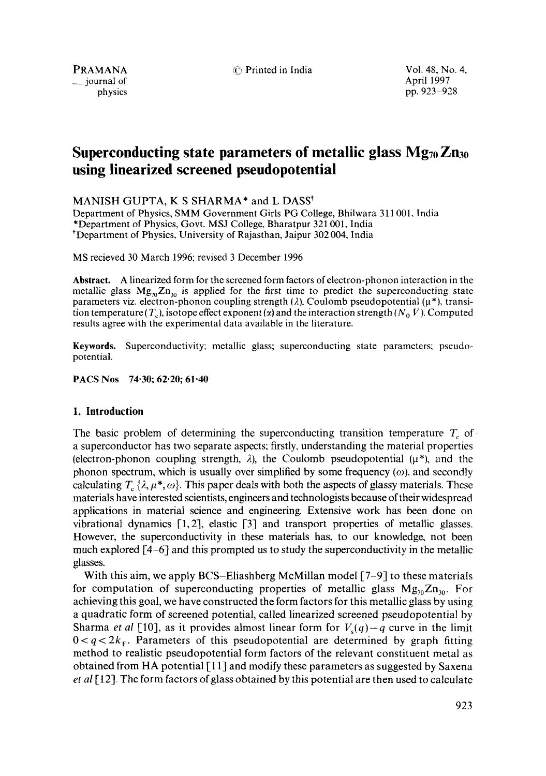$\equiv$  journal of

PRAMANA (1997) C Printed in India Vol. 48, No. 4, Vol. 49, No. 4, Vol. 48, No. 4, physics pp. 923–928

# **Superconducting state parameters of metallic glass Mg<sub>70</sub> Zn<sub>30</sub> using linearized screened pseudopotential**

MANISH GUPTA, K S SHARMA\* and L DASS<sup>†</sup>

Department of Physics, SMM Government Girls PG College, Bhilwara 311 001, India • Department of Physics, Govt. MSJ College, Bharatpur 321 001, India • Department of Physics, University of Rajasthan, Jaipur 302 004, India

MS recieved 30 March 1996; revised 3 December 1996

**Abstract.** A linearized form for the screened form factors of electron-phonon interaction in the metallic glass  $Mg_{\eta0}Zn_{30}$  is applied for the first time to predict the superconducting state parameters viz. electron-phonon coupling strength ( $\lambda$ ), Coulomb pseudopotential ( $\mu^*$ ), transition temperature (T<sub>c</sub>), isotope effect exponent (x) and the interaction strength (N<sub>0</sub> V). Computed results agree with the experimental data available in the literature.

**Keywords.** Superconductivity: metallic glass; superconducting state parameters; pseudopotential.

## **PACS Nos 74.30; 62-20; 61-40**

## **1. Introduction**

The basic problem of determining the superconducting transition temperature  $T_c$  of a superconductor has two separate aspects; firstly, understanding the material properties (electron-phonon coupling strength,  $\lambda$ ), the Coulomb pseudopotential ( $\mu^*$ ), and the phonon spectrum, which is usually over simplified by some frequency  $(\omega)$ , and secondly calculating  $T_c \{\lambda,\mu^*,\omega\}$ . This paper deals with both the aspects of glassy materials. These materials have interested scientists, engineers and technologists because of their widespread applications in material science and engineering. Extensive work has been done on vibrational dynamics [1,2], elastic [3] and transport properties of metallic glasses. However, the superconductivity in these materials has, to our knowledge, not been much explored [4-6] and this prompted us to study the superconductivity in the metallic glasses.

With this aim, we apply BCS-Eliashberg McMillan model [7-9] to these materials for computation of superconducting properties of metallic glass  $Mg_{70}Zn_{30}$ . For achieving this goal, we have constructed the form factors for this metallic glass by using a quadratic form of screened potential, called linearized screened pseudopotential by Sharma *et al* [10], as it provides almost linear form for  $V_s(q) - q$  curve in the limit  $0 < q < 2k_F$ . Parameters of this pseudopotential are determined by graph fitting method to realistic pseudopotential form factors of the relevant constituent metal as obtained from HA potential  $\lceil 11 \rceil$  and modify these parameters as suggested by Saxena *et al* [12]. The form factors of glass obtained by this potential are then used to calculate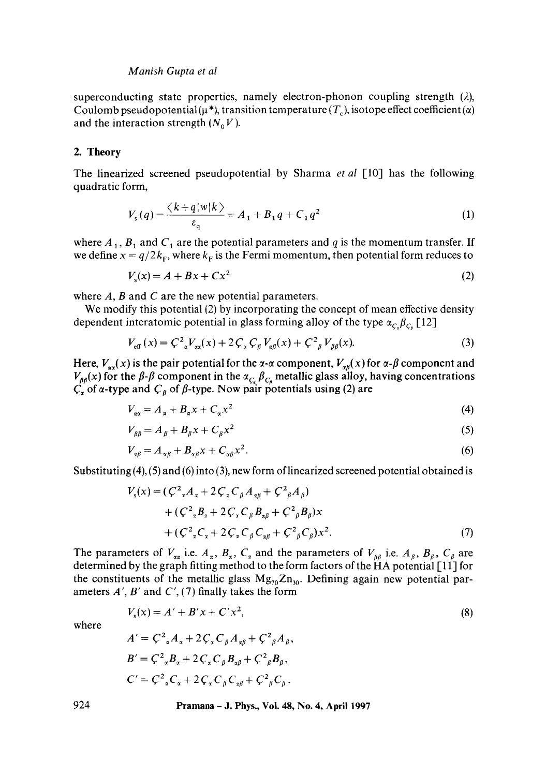#### *Manish Gupta et al*

superconducting state properties, namely electron-phonon coupling strength  $(\lambda)$ , Coulomb pseudopotential ( $\mu^*$ ), transition temperature (T<sub>c</sub>), isotope effect coefficient ( $\alpha$ ) and the interaction strength  $(N_0 V)$ .

# **2. Theory**

The linearized screened pseudopotential by Sharma *et al* [10] has the following quadratic form,

$$
V_{s}(q) = \frac{\langle k + q | w | k \rangle}{\varepsilon_{q}} = A_{1} + B_{1}q + C_{1}q^{2}
$$
 (1)

where  $A_1$ ,  $B_1$  and  $C_1$  are the potential parameters and q is the momentum transfer. If we define  $x = q/2k_F$ , where  $k_F$  is the Fermi momentum, then potential form reduces to

$$
Vs(x) = A + Bx + Cx2
$$
 (2)

where  $A$ ,  $B$  and  $C$  are the new potential parameters.

We modify this potential (2) by incorporating the concept of mean effective density dependent interatomic potential in glass forming alloy of the type  $\alpha_{c} \beta_{c}$  [12]

$$
V_{\text{eff}}(x) = C^2_{x} V_{xx}(x) + 2 C_x C_{\beta} V_{x\beta}(x) + C^2_{\beta} V_{\beta\beta}(x).
$$
 (3)

Here,  $V_{xx}(x)$  is the pair potential for the  $\alpha$ - $\alpha$  component,  $V_{x\beta}(x)$  for  $\alpha$ - $\beta$  component and  $V_{\beta\beta}(x)$  for the  $\beta$ - $\beta$  component in the  $\alpha_{C_x}$   $\beta_{C_\beta}$  metallic glass alloy, having concentrations  $C_x$  of  $\alpha$ -type and  $C_\beta$  of  $\beta$ -type. Now pair potentials using (2) are

$$
V_{\alpha\alpha} = A_{\alpha} + B_{\alpha}x + C_{\alpha}x^2 \tag{4}
$$

$$
V_{\beta\beta} = A_{\beta} + B_{\beta}x + C_{\beta}x^2
$$
 (5)

$$
V_{\alpha\beta} = A_{\alpha\beta} + B_{\alpha\beta}x + C_{\alpha\beta}x^2. \tag{6}
$$

Substituting  $(4)$ ,  $(5)$  and  $(6)$  into  $(3)$ , new form of linearized screened potential obtained is

$$
V_s(x) = (C^2 {}_{x}A_x + 2C_x C_\beta A_{x\beta} + C^2 {}_{\beta}A_{\beta})
$$
  
+  $(C^2 {}_{x}B_x + 2C_x C_\beta B_{x\beta} + C^2 {}_{\beta}B_{\beta})x$   
+  $(C^2 {}_{x}C_x + 2C_x C_\beta C_{x\beta} + C^2 {}_{\beta}C_{\beta})x^2$ . (7)

The parameters of  $V_{ax}$  i.e.  $A_x$ ,  $B_x$ ,  $C_x$  and the parameters of  $V_{BB}$  i.e.  $A_y$ ,  $B_y$ ,  $C_y$  are determined by the graph fitting method to the form factors of the  $\tilde{H}A$  potential [11] for the constituents of the metallic glass  $Mg_{70}Zn_{30}$ . Defining again new potential parameters  $A'$ ,  $B'$  and  $C'$ , (7) finally takes the form

$$
V_s(x) = A' + B'x + C'x^2,
$$
\n(8)

where

$$
A' = C^{2} {}_{\alpha}A_{\alpha} + 2C_{\alpha}C_{\beta}A_{\alpha\beta} + C^{2}{}_{\beta}A_{\beta},
$$
  
\n
$$
B' = C^{2} {}_{\alpha}B_{\alpha} + 2C_{\alpha}C_{\beta}B_{\alpha\beta} + C^{2}{}_{\beta}B_{\beta},
$$
  
\n
$$
C' = C^{2} {}_{\alpha}C_{\alpha} + 2C_{\alpha}C_{\beta}C_{\alpha\beta} + C^{2}{}_{\beta}C_{\beta}.
$$

**924 Pramana - J. Phys., Vol. 48, No. 4, April 1997**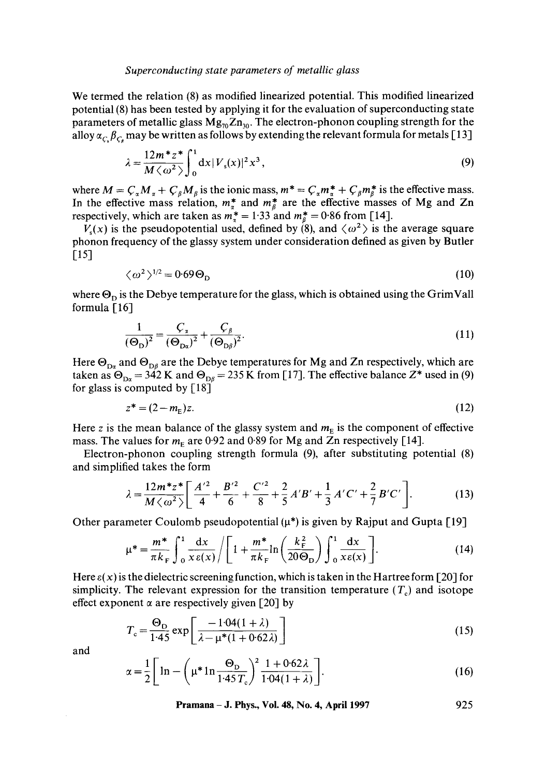#### *Superconducting state parameters of metallic glass*

We termed the relation (8) as modified linearized potential. This modified linearized potential (8) has been tested by applying it for the evaluation of superconducting state parameters of metallic glass  $Mg_{70}Zn_{30}$ . The electron-phonon coupling strength for the alloy  $\alpha_c$   $\beta_c$  may be written as follows by extending the relevant formula for metals [13]

$$
\lambda = \frac{12m^* z^*}{M \langle \omega^2 \rangle} \int_0^1 dx |V_s(x)|^2 x^3,
$$
\n(9)

where  $M = C_{\alpha} M_{\alpha} + C_{\beta} M_{\beta}$  is the ionic mass,  $m^* = C_{\alpha} m_{\alpha}^* + C_{\beta} m_{\beta}^*$  is the effective mass. In the effective mass relation,  $m^*_{\alpha}$  and  $m^*_{\beta}$  are the effective masses of Mg and Zn respectively, which are taken as  $m_{\pi}^{*} = 1.33$  and  $m_{\beta}^{*} = 0.86$  from [14].

 $V<sub>s</sub>(x)$  is the pseudopotential used, defined by (8), and  $\langle \omega^2 \rangle$  is the average square phonon frequency of the glassy system under consideration defined as given by Butler [15]

$$
\langle \omega^2 \rangle^{1/2} = 0.69 \Theta_{\text{D}} \tag{10}
$$

where  $\Theta_{\rm D}$  is the Debye temperature for the glass, which is obtained using the GrimVall formula  $[16]$ 

$$
\frac{1}{(\Theta_{\mathbf{D}})^2} = \frac{C_{\mathbf{x}}}{(\Theta_{\mathbf{D}\mathbf{x}})^2} + \frac{C_{\beta}}{(\Theta_{\mathbf{D}\beta})^2}.
$$
\n(11)

Here  $\Theta_{D\alpha}$  and  $\Theta_{D\beta}$  are the Debye temperatures for Mg and Zn respectively, which are taken as  $\Theta_{D\alpha} = 342$  K and  $\Theta_{D\beta} = 235$  K from [17]. The effective balance Z<sup>\*</sup> used in (9) for glass is computed by [18]

$$
z^* = (2 - m_E)z.
$$
 (12)

Here z is the mean balance of the glassy system and  $m<sub>E</sub>$  is the component of effective mass. The values for  $m_F$  are 0.92 and 0.89 for Mg and Zn respectively [14].

Electron-phonon coupling strength formula (9), after substituting potential (8) and simplified takes the form

$$
\lambda = \frac{12m^*z^*}{M\left\langle \omega^2 \right\rangle} \left[ \frac{A'^2}{4} + \frac{B'^2}{6} + \frac{C'^2}{8} + \frac{2}{5}A'B' + \frac{1}{3}A'C' + \frac{2}{7}B'C' \right].
$$
 (13)

Other parameter Coulomb pseudopotential  $(\mu^*)$  is given by Rajput and Gupta [19]

$$
\mu^* = \frac{m^*}{\pi k_F} \int_0^1 \frac{dx}{x \varepsilon(x)} / \left[ 1 + \frac{m^*}{\pi k_F} \ln \left( \frac{k_F^2}{20\Theta_D} \right) \int_0^1 \frac{dx}{x \varepsilon(x)} \right]. \tag{14}
$$

Here  $\varepsilon(x)$  is the dielectric screening function, which is taken in the Hartree form [20] for simplicity. The relevant expression for the transition temperature  $(T<sub>c</sub>)$  and isotope effect exponent  $\alpha$  are respectively given [20] by

$$
T_c = \frac{\Theta_D}{1.45} \exp\left[\frac{-1.04(1+\lambda)}{\lambda - \mu^*(1+0.62\lambda)}\right]
$$
 (15)

and

$$
\alpha = \frac{1}{2} \left[ \ln - \left( \mu^* \ln \frac{\Theta_{\rm D}}{1.45 \, T_{\rm c}} \right)^2 \frac{1 + 0.62 \lambda}{1.04 (1 + \lambda)} \right]. \tag{16}
$$

**Pramana – J. Phys., Vol. 48, No. 4, April 1997** 925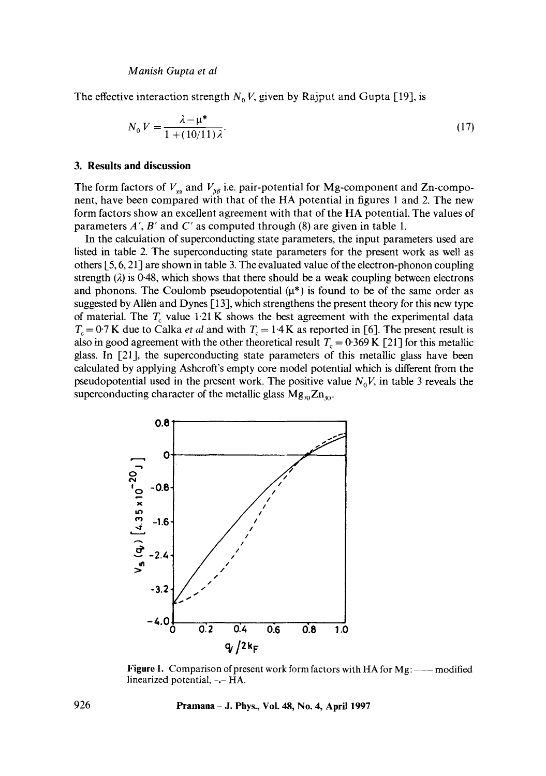The effective interaction strength  $N_0 V$ , given by Rajput and Gupta [19], is

$$
N_0 V = \frac{\lambda - \mu^*}{1 + (10/11)\lambda}.
$$
 (17)

# **3. Results and discussion**

The form factors of  $V_{xx}$  and  $V_{yy}$  i.e. pair-potential for Mg-component and Zn-component, have been compared with that of the HA potential in figures 1 and 2. The new form factors show an excellent agreement with that of the HA potential. The values of parameters  $A'$ ,  $B'$  and  $C'$  as computed through (8) are given in table 1.

In the calculation of superconducting state parameters, the input parameters used are listed in table 2. The superconducting state parameters for the present work as well as others [5, 6, 21] are shown in table 3. The evaluated value of the electron-phonon coupling strength  $(\lambda)$  is 0.48, which shows that there should be a weak coupling between electrons and phonons. The Coulomb pseudopotential  $(\mu^*)$  is found to be of the same order as suggested by Allen and Dynes [13], which strengthens the present theory for this new type of material. The  $T_c$  value 1.21 K shows the best agreement with the experimental data  $T_c = 0.7$  K due to Calka *et al and with*  $T_c = 1.4$  K as reported in [6]. The present result is also in good agreement with the other theoretical result  $T_c = 0.369 \text{ K}$  [21] for this metallic glass. In [21], the superconducting state parameters of this metallic glass have been calculated by applying Ashcroft's empty core model potential which is different from the pseudopotential used in the present work. The positive value  $N_0V$ , in table 3 reveals the superconducting character of the metallic glass  $Mg_{70}Zn_{30}$ .



**Figure 1.** Comparison of present work form factors with HA for Mg: ——modified linearized potential,  $-$ -HA.

**926 Pramana J. Phys., Vol. 48, No. 4, April 1997**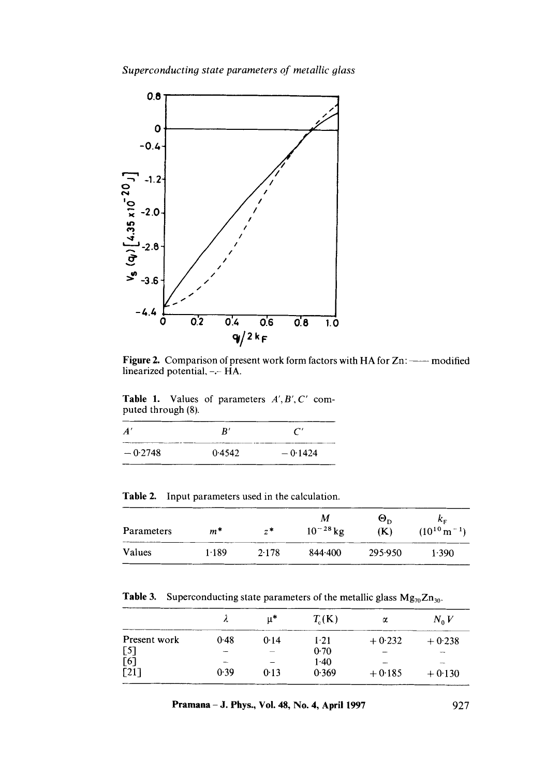

Figure 2. Comparison of present work form factors with HA for  $Zn: \longrightarrow \mathbf{modified}$ linearized potential,-.- HA.

Table 1. Values of parameters *A',B',C'* computed through (8).

| $\boldsymbol{A}'$ | R'     |           |
|-------------------|--------|-----------|
| $-0.2748$         | 0.4542 | $-0.1424$ |

Table 2. Input parameters used in the calculation.

| Parameters | $m^*$ | $z^*$ | М<br>$10^{-28}$ kg | $\Theta_{\rm D}$<br>(K) | $k_{\rm E}$<br>$(10^{10} \text{ m}^{-1})$ |
|------------|-------|-------|--------------------|-------------------------|-------------------------------------------|
| Values     | 1.189 | 2.178 | 844.400            | 295.950                 | 1.390                                     |

**Table 3.** Superconducting state parameters of the metallic glass  $Mg_{70}Zn_{30}$ .

|                    | л      | u*   | $T_c(K)$ | α        | $N_0V$   |
|--------------------|--------|------|----------|----------|----------|
| Present work       | 0.48   | 0.14 | 1.21     | $+0.232$ | $+0.238$ |
| [5]                | $\sim$ |      | 0.70     |          | $\sim$   |
| $\bar{[}6\bar{]}$  |        |      | $1-40$   |          |          |
| $\lceil 21 \rceil$ | 0.39   | 0.13 | 0.369    | $+0.185$ | $+0.130$ |

**Pramana - J. Phys., Vol. 48, No. 4, April 1997** 927